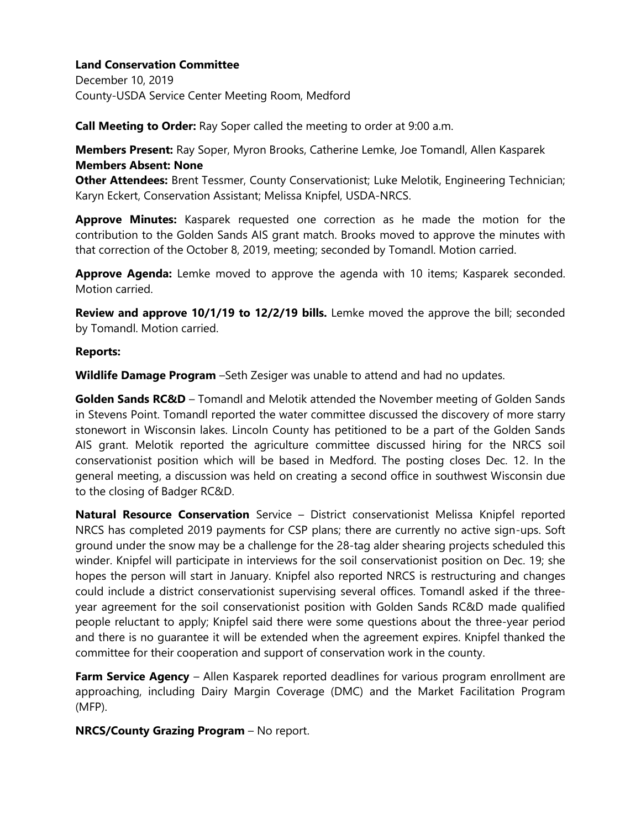December 10, 2019 County-USDA Service Center Meeting Room, Medford

**Call Meeting to Order:** Ray Soper called the meeting to order at 9:00 a.m.

**Members Present:** Ray Soper, Myron Brooks, Catherine Lemke, Joe Tomandl, Allen Kasparek **Members Absent: None**

**Other Attendees:** Brent Tessmer, County Conservationist; Luke Melotik, Engineering Technician; Karyn Eckert, Conservation Assistant; Melissa Knipfel, USDA-NRCS.

**Approve Minutes:** Kasparek requested one correction as he made the motion for the contribution to the Golden Sands AIS grant match. Brooks moved to approve the minutes with that correction of the October 8, 2019, meeting; seconded by Tomandl. Motion carried.

**Approve Agenda:** Lemke moved to approve the agenda with 10 items; Kasparek seconded. Motion carried.

**Review and approve 10/1/19 to 12/2/19 bills.** Lemke moved the approve the bill; seconded by Tomandl. Motion carried.

#### **Reports:**

**Wildlife Damage Program** –Seth Zesiger was unable to attend and had no updates.

**Golden Sands RC&D** – Tomandl and Melotik attended the November meeting of Golden Sands in Stevens Point. Tomandl reported the water committee discussed the discovery of more starry stonewort in Wisconsin lakes. Lincoln County has petitioned to be a part of the Golden Sands AIS grant. Melotik reported the agriculture committee discussed hiring for the NRCS soil conservationist position which will be based in Medford. The posting closes Dec. 12. In the general meeting, a discussion was held on creating a second office in southwest Wisconsin due to the closing of Badger RC&D.

**Natural Resource Conservation** Service – District conservationist Melissa Knipfel reported NRCS has completed 2019 payments for CSP plans; there are currently no active sign-ups. Soft ground under the snow may be a challenge for the 28-tag alder shearing projects scheduled this winder. Knipfel will participate in interviews for the soil conservationist position on Dec. 19; she hopes the person will start in January. Knipfel also reported NRCS is restructuring and changes could include a district conservationist supervising several offices. Tomandl asked if the threeyear agreement for the soil conservationist position with Golden Sands RC&D made qualified people reluctant to apply; Knipfel said there were some questions about the three-year period and there is no guarantee it will be extended when the agreement expires. Knipfel thanked the committee for their cooperation and support of conservation work in the county.

**Farm Service Agency** – Allen Kasparek reported deadlines for various program enrollment are approaching, including Dairy Margin Coverage (DMC) and the Market Facilitation Program (MFP).

**NRCS/County Grazing Program** – No report.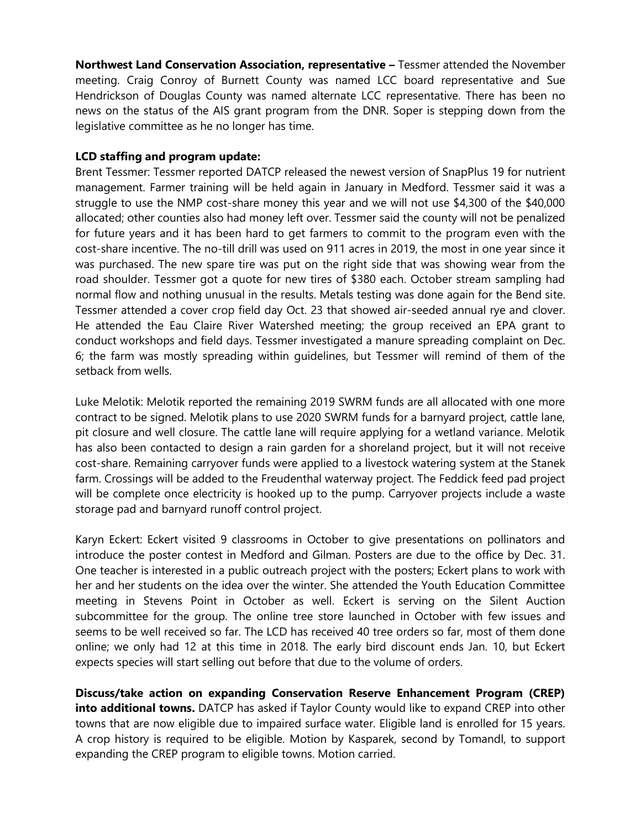**Northwest Land Conservation Association, representative –** Tessmer attended the November meeting. Craig Conroy of Burnett County was named LCC board representative and Sue Hendrickson of Douglas County was named alternate LCC representative. There has been no news on the status of the AIS grant program from the DNR. Soper is stepping down from the legislative committee as he no longer has time.

### **LCD staffing and program update:**

Brent Tessmer: Tessmer reported DATCP released the newest version of SnapPlus 19 for nutrient management. Farmer training will be held again in January in Medford. Tessmer said it was a struggle to use the NMP cost-share money this year and we will not use \$4,300 of the \$40,000 allocated; other counties also had money left over. Tessmer said the county will not be penalized for future years and it has been hard to get farmers to commit to the program even with the cost-share incentive. The no-till drill was used on 911 acres in 2019, the most in one year since it was purchased. The new spare tire was put on the right side that was showing wear from the road shoulder. Tessmer got a quote for new tires of \$380 each. October stream sampling had normal flow and nothing unusual in the results. Metals testing was done again for the Bend site. Tessmer attended a cover crop field day Oct. 23 that showed air-seeded annual rye and clover. He attended the Eau Claire River Watershed meeting; the group received an EPA grant to conduct workshops and field days. Tessmer investigated a manure spreading complaint on Dec. 6; the farm was mostly spreading within guidelines, but Tessmer will remind of them of the setback from wells.

Luke Melotik: Melotik reported the remaining 2019 SWRM funds are all allocated with one more contract to be signed. Melotik plans to use 2020 SWRM funds for a barnyard project, cattle lane, pit closure and well closure. The cattle lane will require applying for a wetland variance. Melotik has also been contacted to design a rain garden for a shoreland project, but it will not receive cost-share. Remaining carryover funds were applied to a livestock watering system at the Stanek farm. Crossings will be added to the Freudenthal waterway project. The Feddick feed pad project will be complete once electricity is hooked up to the pump. Carryover projects include a waste storage pad and barnyard runoff control project.

Karyn Eckert: Eckert visited 9 classrooms in October to give presentations on pollinators and introduce the poster contest in Medford and Gilman. Posters are due to the office by Dec. 31. One teacher is interested in a public outreach project with the posters; Eckert plans to work with her and her students on the idea over the winter. She attended the Youth Education Committee meeting in Stevens Point in October as well. Eckert is serving on the Silent Auction subcommittee for the group. The online tree store launched in October with few issues and seems to be well received so far. The LCD has received 40 tree orders so far, most of them done online; we only had 12 at this time in 2018. The early bird discount ends Jan. 10, but Eckert expects species will start selling out before that due to the volume of orders.

**Discuss/take action on expanding Conservation Reserve Enhancement Program (CREP) into additional towns.** DATCP has asked if Taylor County would like to expand CREP into other towns that are now eligible due to impaired surface water. Eligible land is enrolled for 15 years. A crop history is required to be eligible. Motion by Kasparek, second by Tomandl, to support expanding the CREP program to eligible towns. Motion carried.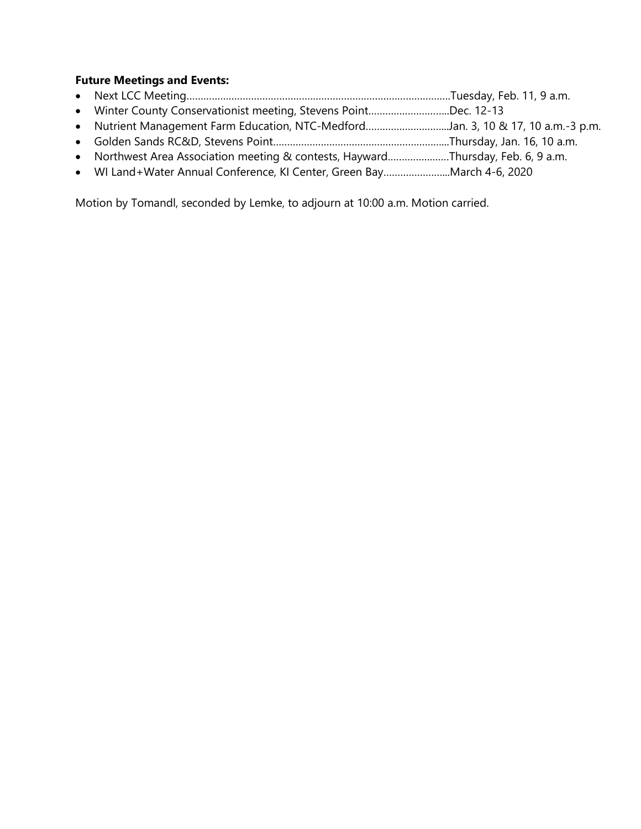# **Future Meetings and Events:**

- Next LCC Meeting………………………………………………………………………………….Tuesday, Feb. 11, 9 a.m.
- Winter County Conservationist meeting, Stevens Point………………………..Dec. 12-13
- Nutrient Management Farm Education, NTC-Medford………………………...Jan. 3, 10 & 17, 10 a.m.-3 p.m.
- Golden Sands RC&D, Stevens Point……………………………………………………...Thursday, Jan. 16, 10 a.m.
- Northwest Area Association meeting & contests, Hayward…………….……Thursday, Feb. 6, 9 a.m.
- WI Land+Water Annual Conference, KI Center, Green Bay…………………...March 4-6, 2020

Motion by Tomandl, seconded by Lemke, to adjourn at 10:00 a.m. Motion carried.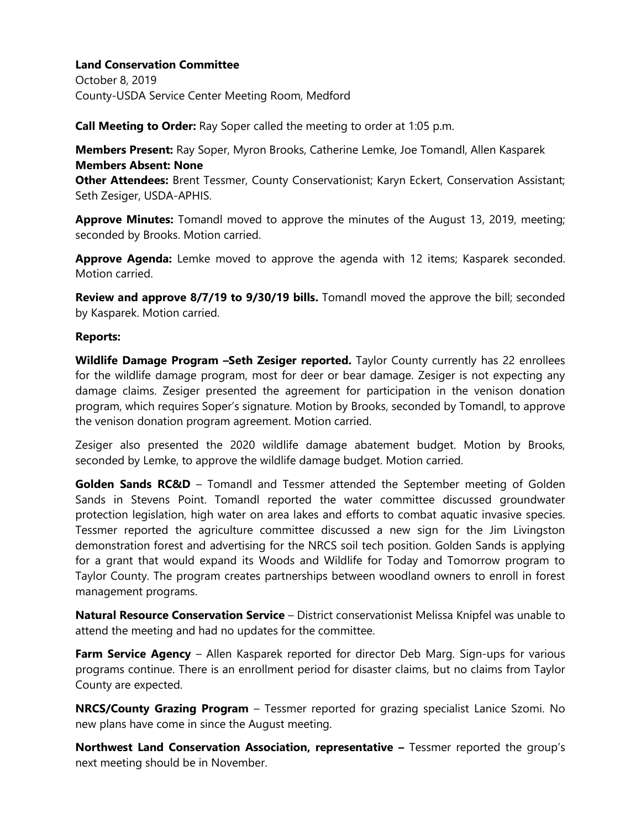October 8, 2019 County-USDA Service Center Meeting Room, Medford

**Call Meeting to Order:** Ray Soper called the meeting to order at 1:05 p.m.

**Members Present:** Ray Soper, Myron Brooks, Catherine Lemke, Joe Tomandl, Allen Kasparek **Members Absent: None**

**Other Attendees:** Brent Tessmer, County Conservationist; Karyn Eckert, Conservation Assistant; Seth Zesiger, USDA-APHIS.

**Approve Minutes:** Tomandl moved to approve the minutes of the August 13, 2019, meeting; seconded by Brooks. Motion carried.

Approve Agenda: Lemke moved to approve the agenda with 12 items; Kasparek seconded. Motion carried.

**Review and approve 8/7/19 to 9/30/19 bills.** Tomandl moved the approve the bill; seconded by Kasparek. Motion carried.

#### **Reports:**

**Wildlife Damage Program –Seth Zesiger reported.** Taylor County currently has 22 enrollees for the wildlife damage program, most for deer or bear damage. Zesiger is not expecting any damage claims. Zesiger presented the agreement for participation in the venison donation program, which requires Soper's signature. Motion by Brooks, seconded by Tomandl, to approve the venison donation program agreement. Motion carried.

Zesiger also presented the 2020 wildlife damage abatement budget. Motion by Brooks, seconded by Lemke, to approve the wildlife damage budget. Motion carried.

**Golden Sands RC&D** – Tomandl and Tessmer attended the September meeting of Golden Sands in Stevens Point. Tomandl reported the water committee discussed groundwater protection legislation, high water on area lakes and efforts to combat aquatic invasive species. Tessmer reported the agriculture committee discussed a new sign for the Jim Livingston demonstration forest and advertising for the NRCS soil tech position. Golden Sands is applying for a grant that would expand its Woods and Wildlife for Today and Tomorrow program to Taylor County. The program creates partnerships between woodland owners to enroll in forest management programs.

**Natural Resource Conservation Service** – District conservationist Melissa Knipfel was unable to attend the meeting and had no updates for the committee.

**Farm Service Agency** – Allen Kasparek reported for director Deb Marg. Sign-ups for various programs continue. There is an enrollment period for disaster claims, but no claims from Taylor County are expected.

**NRCS/County Grazing Program** – Tessmer reported for grazing specialist Lanice Szomi. No new plans have come in since the August meeting.

**Northwest Land Conservation Association, representative –** Tessmer reported the group's next meeting should be in November.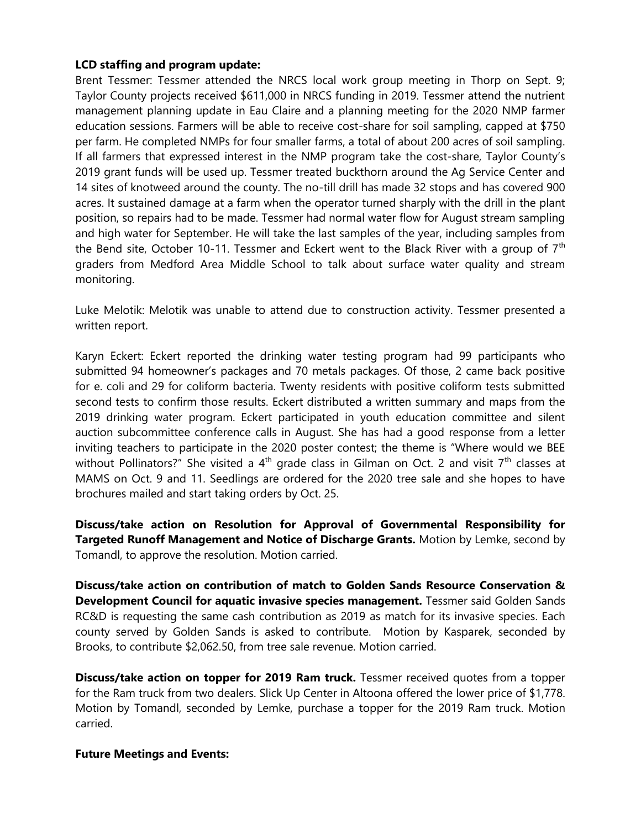### **LCD staffing and program update:**

Brent Tessmer: Tessmer attended the NRCS local work group meeting in Thorp on Sept. 9; Taylor County projects received \$611,000 in NRCS funding in 2019. Tessmer attend the nutrient management planning update in Eau Claire and a planning meeting for the 2020 NMP farmer education sessions. Farmers will be able to receive cost-share for soil sampling, capped at \$750 per farm. He completed NMPs for four smaller farms, a total of about 200 acres of soil sampling. If all farmers that expressed interest in the NMP program take the cost-share, Taylor County's 2019 grant funds will be used up. Tessmer treated buckthorn around the Ag Service Center and 14 sites of knotweed around the county. The no-till drill has made 32 stops and has covered 900 acres. It sustained damage at a farm when the operator turned sharply with the drill in the plant position, so repairs had to be made. Tessmer had normal water flow for August stream sampling and high water for September. He will take the last samples of the year, including samples from the Bend site, October 10-11. Tessmer and Eckert went to the Black River with a group of  $7<sup>th</sup>$ graders from Medford Area Middle School to talk about surface water quality and stream monitoring.

Luke Melotik: Melotik was unable to attend due to construction activity. Tessmer presented a written report.

Karyn Eckert: Eckert reported the drinking water testing program had 99 participants who submitted 94 homeowner's packages and 70 metals packages. Of those, 2 came back positive for e. coli and 29 for coliform bacteria. Twenty residents with positive coliform tests submitted second tests to confirm those results. Eckert distributed a written summary and maps from the 2019 drinking water program. Eckert participated in youth education committee and silent auction subcommittee conference calls in August. She has had a good response from a letter inviting teachers to participate in the 2020 poster contest; the theme is "Where would we BEE without Pollinators?" She visited a  $4<sup>th</sup>$  grade class in Gilman on Oct. 2 and visit  $7<sup>th</sup>$  classes at MAMS on Oct. 9 and 11. Seedlings are ordered for the 2020 tree sale and she hopes to have brochures mailed and start taking orders by Oct. 25.

**Discuss/take action on Resolution for Approval of Governmental Responsibility for Targeted Runoff Management and Notice of Discharge Grants.** Motion by Lemke, second by Tomandl, to approve the resolution. Motion carried.

**Discuss/take action on contribution of match to Golden Sands Resource Conservation & Development Council for aquatic invasive species management.** Tessmer said Golden Sands RC&D is requesting the same cash contribution as 2019 as match for its invasive species. Each county served by Golden Sands is asked to contribute. Motion by Kasparek, seconded by Brooks, to contribute \$2,062.50, from tree sale revenue. Motion carried.

**Discuss/take action on topper for 2019 Ram truck.** Tessmer received quotes from a topper for the Ram truck from two dealers. Slick Up Center in Altoona offered the lower price of \$1,778. Motion by Tomandl, seconded by Lemke, purchase a topper for the 2019 Ram truck. Motion carried.

### **Future Meetings and Events:**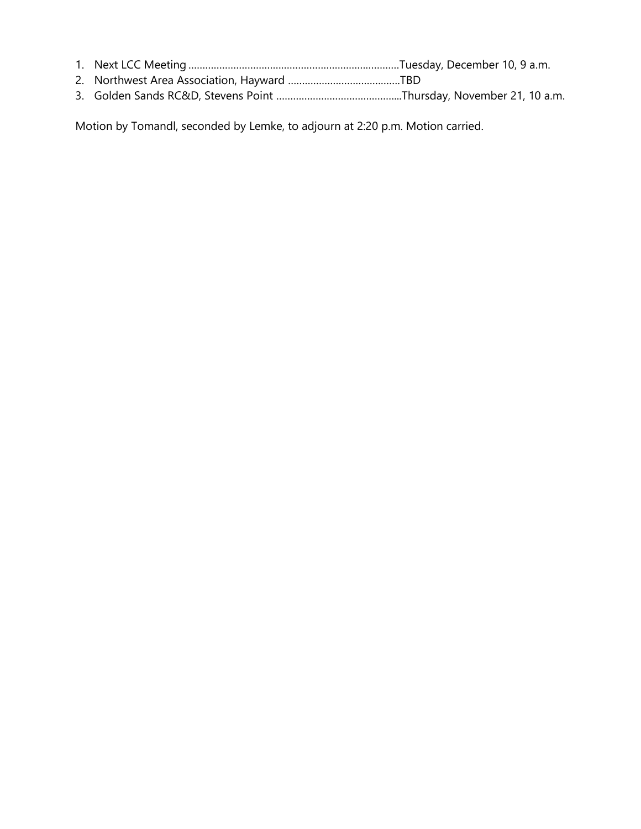Motion by Tomandl, seconded by Lemke, to adjourn at 2:20 p.m. Motion carried.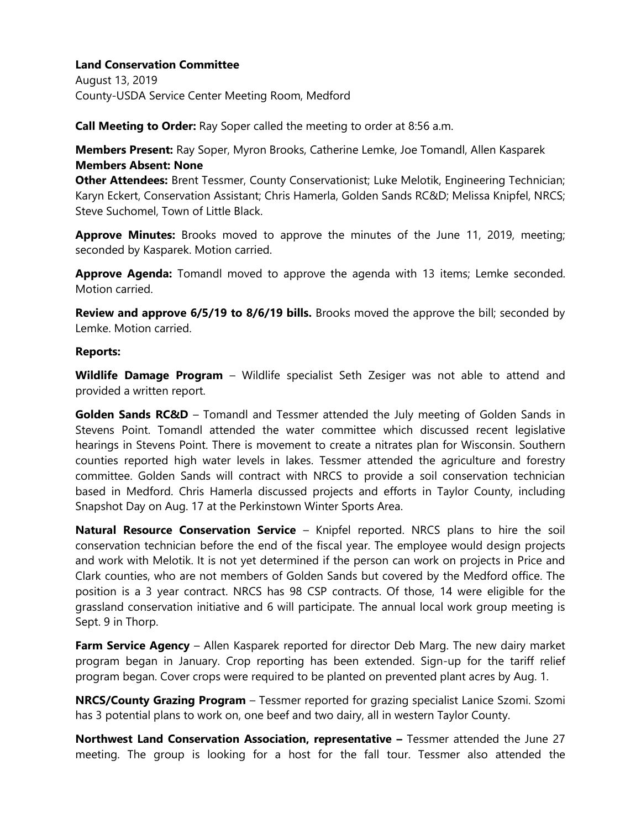August 13, 2019 County-USDA Service Center Meeting Room, Medford

**Call Meeting to Order:** Ray Soper called the meeting to order at 8:56 a.m.

**Members Present:** Ray Soper, Myron Brooks, Catherine Lemke, Joe Tomandl, Allen Kasparek **Members Absent: None**

**Other Attendees:** Brent Tessmer, County Conservationist; Luke Melotik, Engineering Technician; Karyn Eckert, Conservation Assistant; Chris Hamerla, Golden Sands RC&D; Melissa Knipfel, NRCS; Steve Suchomel, Town of Little Black.

**Approve Minutes:** Brooks moved to approve the minutes of the June 11, 2019, meeting; seconded by Kasparek. Motion carried.

**Approve Agenda:** Tomandl moved to approve the agenda with 13 items; Lemke seconded. Motion carried.

**Review and approve 6/5/19 to 8/6/19 bills.** Brooks moved the approve the bill; seconded by Lemke. Motion carried.

#### **Reports:**

**Wildlife Damage Program** – Wildlife specialist Seth Zesiger was not able to attend and provided a written report.

**Golden Sands RC&D** – Tomandl and Tessmer attended the July meeting of Golden Sands in Stevens Point. Tomandl attended the water committee which discussed recent legislative hearings in Stevens Point. There is movement to create a nitrates plan for Wisconsin. Southern counties reported high water levels in lakes. Tessmer attended the agriculture and forestry committee. Golden Sands will contract with NRCS to provide a soil conservation technician based in Medford. Chris Hamerla discussed projects and efforts in Taylor County, including Snapshot Day on Aug. 17 at the Perkinstown Winter Sports Area.

**Natural Resource Conservation Service** – Knipfel reported. NRCS plans to hire the soil conservation technician before the end of the fiscal year. The employee would design projects and work with Melotik. It is not yet determined if the person can work on projects in Price and Clark counties, who are not members of Golden Sands but covered by the Medford office. The position is a 3 year contract. NRCS has 98 CSP contracts. Of those, 14 were eligible for the grassland conservation initiative and 6 will participate. The annual local work group meeting is Sept. 9 in Thorp.

**Farm Service Agency** – Allen Kasparek reported for director Deb Marg. The new dairy market program began in January. Crop reporting has been extended. Sign-up for the tariff relief program began. Cover crops were required to be planted on prevented plant acres by Aug. 1.

**NRCS/County Grazing Program** – Tessmer reported for grazing specialist Lanice Szomi. Szomi has 3 potential plans to work on, one beef and two dairy, all in western Taylor County.

**Northwest Land Conservation Association, representative –** Tessmer attended the June 27 meeting. The group is looking for a host for the fall tour. Tessmer also attended the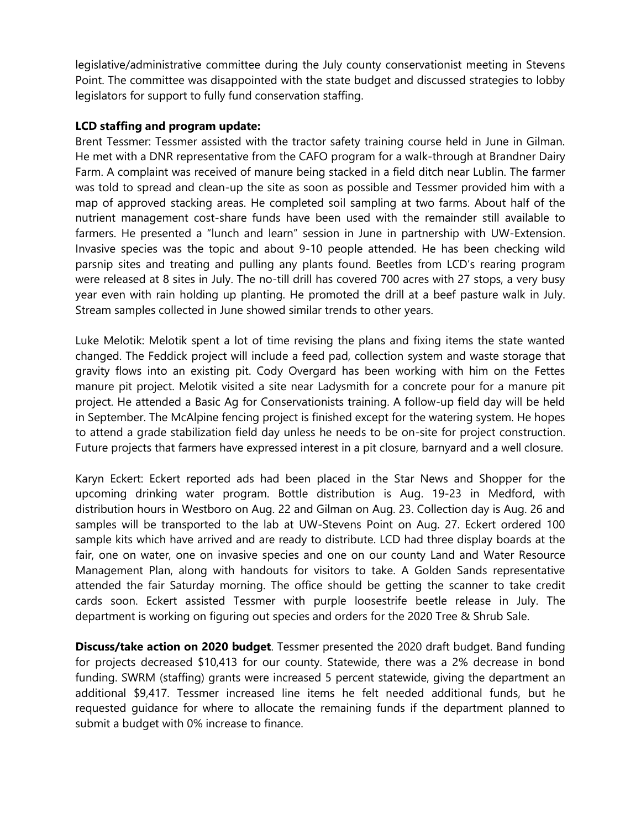legislative/administrative committee during the July county conservationist meeting in Stevens Point. The committee was disappointed with the state budget and discussed strategies to lobby legislators for support to fully fund conservation staffing.

### **LCD staffing and program update:**

Brent Tessmer: Tessmer assisted with the tractor safety training course held in June in Gilman. He met with a DNR representative from the CAFO program for a walk-through at Brandner Dairy Farm. A complaint was received of manure being stacked in a field ditch near Lublin. The farmer was told to spread and clean-up the site as soon as possible and Tessmer provided him with a map of approved stacking areas. He completed soil sampling at two farms. About half of the nutrient management cost-share funds have been used with the remainder still available to farmers. He presented a "lunch and learn" session in June in partnership with UW-Extension. Invasive species was the topic and about 9-10 people attended. He has been checking wild parsnip sites and treating and pulling any plants found. Beetles from LCD's rearing program were released at 8 sites in July. The no-till drill has covered 700 acres with 27 stops, a very busy year even with rain holding up planting. He promoted the drill at a beef pasture walk in July. Stream samples collected in June showed similar trends to other years.

Luke Melotik: Melotik spent a lot of time revising the plans and fixing items the state wanted changed. The Feddick project will include a feed pad, collection system and waste storage that gravity flows into an existing pit. Cody Overgard has been working with him on the Fettes manure pit project. Melotik visited a site near Ladysmith for a concrete pour for a manure pit project. He attended a Basic Ag for Conservationists training. A follow-up field day will be held in September. The McAlpine fencing project is finished except for the watering system. He hopes to attend a grade stabilization field day unless he needs to be on-site for project construction. Future projects that farmers have expressed interest in a pit closure, barnyard and a well closure.

Karyn Eckert: Eckert reported ads had been placed in the Star News and Shopper for the upcoming drinking water program. Bottle distribution is Aug. 19-23 in Medford, with distribution hours in Westboro on Aug. 22 and Gilman on Aug. 23. Collection day is Aug. 26 and samples will be transported to the lab at UW-Stevens Point on Aug. 27. Eckert ordered 100 sample kits which have arrived and are ready to distribute. LCD had three display boards at the fair, one on water, one on invasive species and one on our county Land and Water Resource Management Plan, along with handouts for visitors to take. A Golden Sands representative attended the fair Saturday morning. The office should be getting the scanner to take credit cards soon. Eckert assisted Tessmer with purple loosestrife beetle release in July. The department is working on figuring out species and orders for the 2020 Tree & Shrub Sale.

**Discuss/take action on 2020 budget**. Tessmer presented the 2020 draft budget. Band funding for projects decreased \$10,413 for our county. Statewide, there was a 2% decrease in bond funding. SWRM (staffing) grants were increased 5 percent statewide, giving the department an additional \$9,417. Tessmer increased line items he felt needed additional funds, but he requested guidance for where to allocate the remaining funds if the department planned to submit a budget with 0% increase to finance.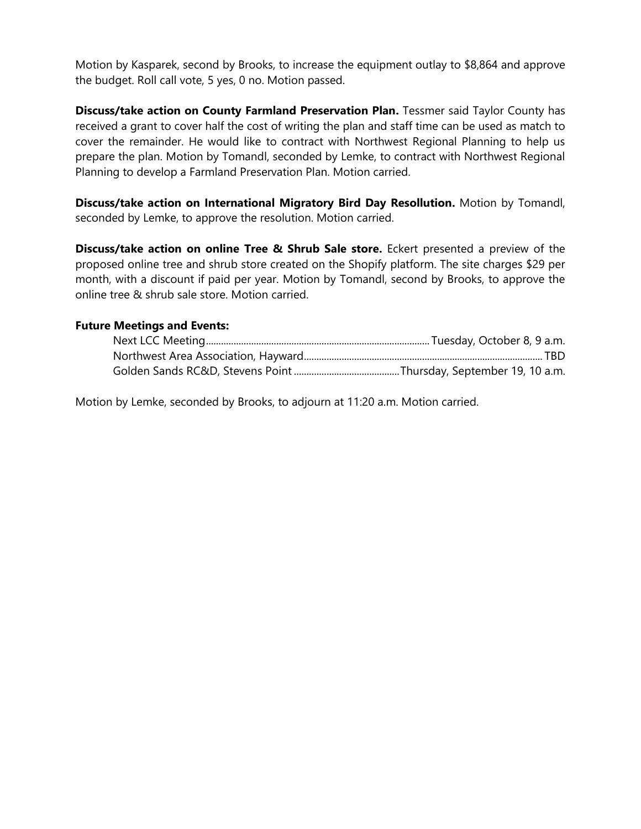Motion by Kasparek, second by Brooks, to increase the equipment outlay to \$8,864 and approve the budget. Roll call vote, 5 yes, 0 no. Motion passed.

**Discuss/take action on County Farmland Preservation Plan.** Tessmer said Taylor County has received a grant to cover half the cost of writing the plan and staff time can be used as match to cover the remainder. He would like to contract with Northwest Regional Planning to help us prepare the plan. Motion by Tomandl, seconded by Lemke, to contract with Northwest Regional Planning to develop a Farmland Preservation Plan. Motion carried.

**Discuss/take action on International Migratory Bird Day Resollution.** Motion by Tomandl, seconded by Lemke, to approve the resolution. Motion carried.

**Discuss/take action on online Tree & Shrub Sale store.** Eckert presented a preview of the proposed online tree and shrub store created on the Shopify platform. The site charges \$29 per month, with a discount if paid per year. Motion by Tomandl, second by Brooks, to approve the online tree & shrub sale store. Motion carried.

### **Future Meetings and Events:**

Motion by Lemke, seconded by Brooks, to adjourn at 11:20 a.m. Motion carried.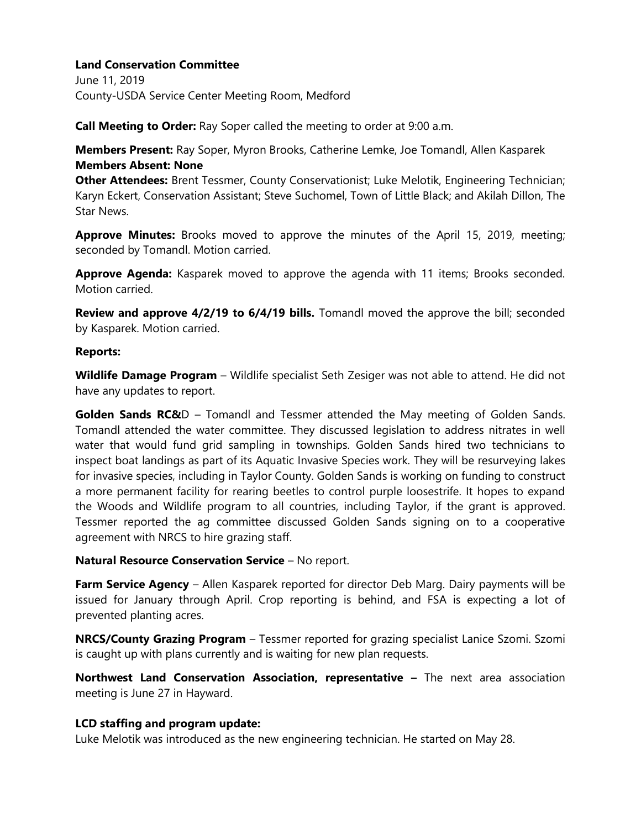June 11, 2019 County-USDA Service Center Meeting Room, Medford

**Call Meeting to Order:** Ray Soper called the meeting to order at 9:00 a.m.

**Members Present:** Ray Soper, Myron Brooks, Catherine Lemke, Joe Tomandl, Allen Kasparek **Members Absent: None**

**Other Attendees:** Brent Tessmer, County Conservationist; Luke Melotik, Engineering Technician; Karyn Eckert, Conservation Assistant; Steve Suchomel, Town of Little Black; and Akilah Dillon, The Star News.

**Approve Minutes:** Brooks moved to approve the minutes of the April 15, 2019, meeting; seconded by Tomandl. Motion carried.

**Approve Agenda:** Kasparek moved to approve the agenda with 11 items; Brooks seconded. Motion carried.

**Review and approve 4/2/19 to 6/4/19 bills.** Tomandl moved the approve the bill; seconded by Kasparek. Motion carried.

#### **Reports:**

**Wildlife Damage Program** – Wildlife specialist Seth Zesiger was not able to attend. He did not have any updates to report.

**Golden Sands RC&**D – Tomandl and Tessmer attended the May meeting of Golden Sands. Tomandl attended the water committee. They discussed legislation to address nitrates in well water that would fund grid sampling in townships. Golden Sands hired two technicians to inspect boat landings as part of its Aquatic Invasive Species work. They will be resurveying lakes for invasive species, including in Taylor County. Golden Sands is working on funding to construct a more permanent facility for rearing beetles to control purple loosestrife. It hopes to expand the Woods and Wildlife program to all countries, including Taylor, if the grant is approved. Tessmer reported the ag committee discussed Golden Sands signing on to a cooperative agreement with NRCS to hire grazing staff.

### **Natural Resource Conservation Service** – No report.

**Farm Service Agency** – Allen Kasparek reported for director Deb Marg. Dairy payments will be issued for January through April. Crop reporting is behind, and FSA is expecting a lot of prevented planting acres.

**NRCS/County Grazing Program** – Tessmer reported for grazing specialist Lanice Szomi. Szomi is caught up with plans currently and is waiting for new plan requests.

**Northwest Land Conservation Association, representative –** The next area association meeting is June 27 in Hayward.

### **LCD staffing and program update:**

Luke Melotik was introduced as the new engineering technician. He started on May 28.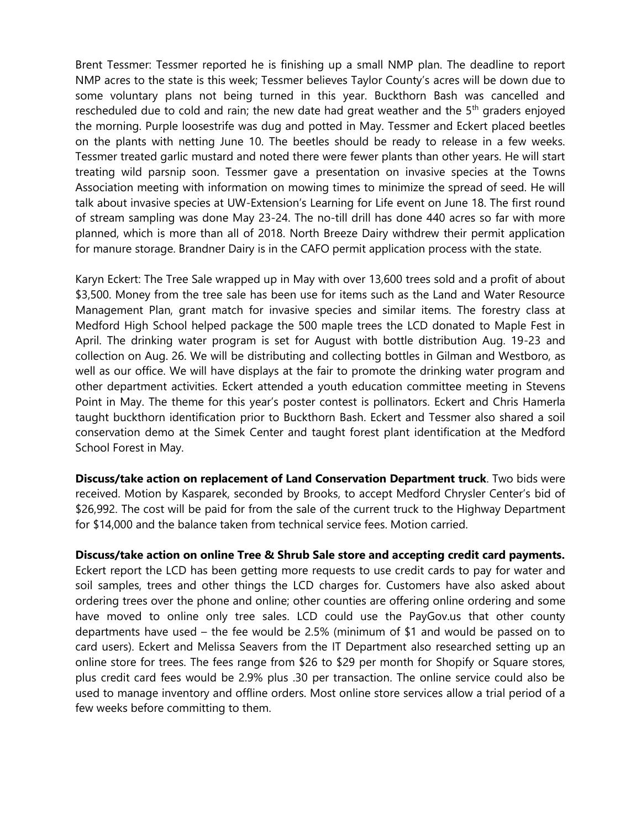Brent Tessmer: Tessmer reported he is finishing up a small NMP plan. The deadline to report NMP acres to the state is this week; Tessmer believes Taylor County's acres will be down due to some voluntary plans not being turned in this year. Buckthorn Bash was cancelled and rescheduled due to cold and rain; the new date had great weather and the  $5<sup>th</sup>$  graders enjoyed the morning. Purple loosestrife was dug and potted in May. Tessmer and Eckert placed beetles on the plants with netting June 10. The beetles should be ready to release in a few weeks. Tessmer treated garlic mustard and noted there were fewer plants than other years. He will start treating wild parsnip soon. Tessmer gave a presentation on invasive species at the Towns Association meeting with information on mowing times to minimize the spread of seed. He will talk about invasive species at UW-Extension's Learning for Life event on June 18. The first round of stream sampling was done May 23-24. The no-till drill has done 440 acres so far with more planned, which is more than all of 2018. North Breeze Dairy withdrew their permit application for manure storage. Brandner Dairy is in the CAFO permit application process with the state.

Karyn Eckert: The Tree Sale wrapped up in May with over 13,600 trees sold and a profit of about \$3,500. Money from the tree sale has been use for items such as the Land and Water Resource Management Plan, grant match for invasive species and similar items. The forestry class at Medford High School helped package the 500 maple trees the LCD donated to Maple Fest in April. The drinking water program is set for August with bottle distribution Aug. 19-23 and collection on Aug. 26. We will be distributing and collecting bottles in Gilman and Westboro, as well as our office. We will have displays at the fair to promote the drinking water program and other department activities. Eckert attended a youth education committee meeting in Stevens Point in May. The theme for this year's poster contest is pollinators. Eckert and Chris Hamerla taught buckthorn identification prior to Buckthorn Bash. Eckert and Tessmer also shared a soil conservation demo at the Simek Center and taught forest plant identification at the Medford School Forest in May.

**Discuss/take action on replacement of Land Conservation Department truck**. Two bids were received. Motion by Kasparek, seconded by Brooks, to accept Medford Chrysler Center's bid of \$26,992. The cost will be paid for from the sale of the current truck to the Highway Department for \$14,000 and the balance taken from technical service fees. Motion carried.

**Discuss/take action on online Tree & Shrub Sale store and accepting credit card payments.**  Eckert report the LCD has been getting more requests to use credit cards to pay for water and soil samples, trees and other things the LCD charges for. Customers have also asked about ordering trees over the phone and online; other counties are offering online ordering and some have moved to online only tree sales. LCD could use the PayGov.us that other county departments have used – the fee would be 2.5% (minimum of \$1 and would be passed on to card users). Eckert and Melissa Seavers from the IT Department also researched setting up an online store for trees. The fees range from \$26 to \$29 per month for Shopify or Square stores, plus credit card fees would be 2.9% plus .30 per transaction. The online service could also be used to manage inventory and offline orders. Most online store services allow a trial period of a few weeks before committing to them.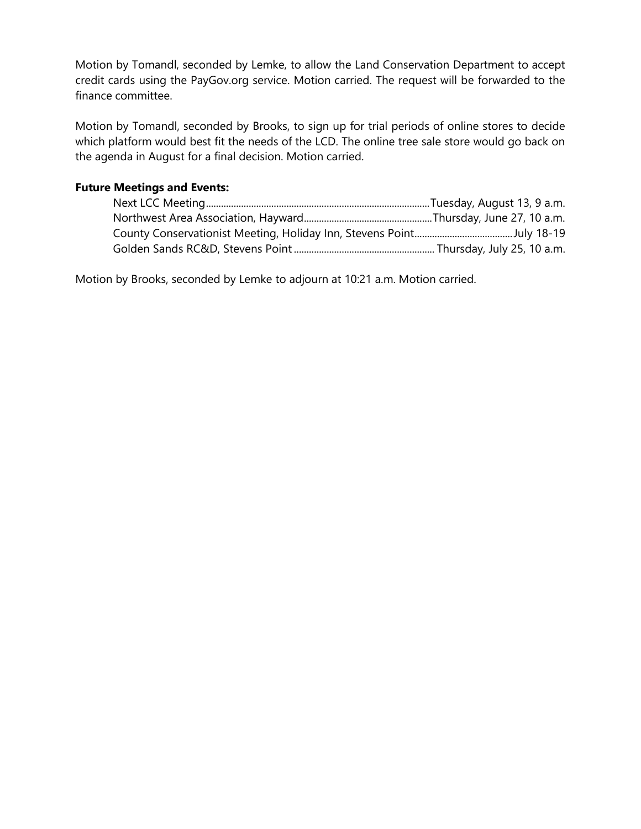Motion by Tomandl, seconded by Lemke, to allow the Land Conservation Department to accept credit cards using the PayGov.org service. Motion carried. The request will be forwarded to the finance committee.

Motion by Tomandl, seconded by Brooks, to sign up for trial periods of online stores to decide which platform would best fit the needs of the LCD. The online tree sale store would go back on the agenda in August for a final decision. Motion carried.

# **Future Meetings and Events:**

Motion by Brooks, seconded by Lemke to adjourn at 10:21 a.m. Motion carried.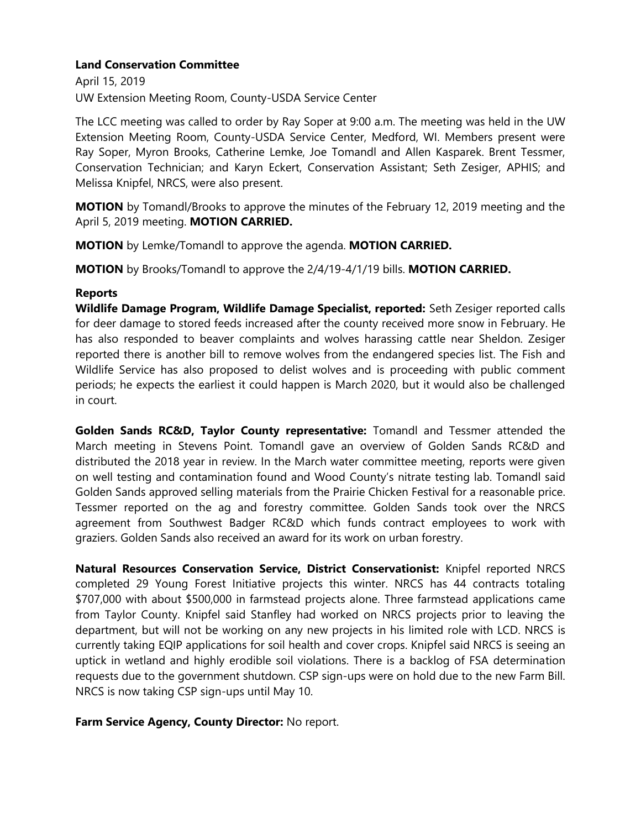April 15, 2019 UW Extension Meeting Room, County-USDA Service Center

The LCC meeting was called to order by Ray Soper at 9:00 a.m. The meeting was held in the UW Extension Meeting Room, County-USDA Service Center, Medford, WI. Members present were Ray Soper, Myron Brooks, Catherine Lemke, Joe Tomandl and Allen Kasparek. Brent Tessmer, Conservation Technician; and Karyn Eckert, Conservation Assistant; Seth Zesiger, APHIS; and Melissa Knipfel, NRCS, were also present.

**MOTION** by Tomandl/Brooks to approve the minutes of the February 12, 2019 meeting and the April 5, 2019 meeting. **MOTION CARRIED.**

**MOTION** by Lemke/Tomandl to approve the agenda. **MOTION CARRIED.**

**MOTION** by Brooks/Tomandl to approve the 2/4/19-4/1/19 bills. **MOTION CARRIED.**

## **Reports**

**Wildlife Damage Program, Wildlife Damage Specialist, reported:** Seth Zesiger reported calls for deer damage to stored feeds increased after the county received more snow in February. He has also responded to beaver complaints and wolves harassing cattle near Sheldon. Zesiger reported there is another bill to remove wolves from the endangered species list. The Fish and Wildlife Service has also proposed to delist wolves and is proceeding with public comment periods; he expects the earliest it could happen is March 2020, but it would also be challenged in court.

**Golden Sands RC&D, Taylor County representative:** Tomandl and Tessmer attended the March meeting in Stevens Point. Tomandl gave an overview of Golden Sands RC&D and distributed the 2018 year in review. In the March water committee meeting, reports were given on well testing and contamination found and Wood County's nitrate testing lab. Tomandl said Golden Sands approved selling materials from the Prairie Chicken Festival for a reasonable price. Tessmer reported on the ag and forestry committee. Golden Sands took over the NRCS agreement from Southwest Badger RC&D which funds contract employees to work with graziers. Golden Sands also received an award for its work on urban forestry.

**Natural Resources Conservation Service, District Conservationist:** Knipfel reported NRCS completed 29 Young Forest Initiative projects this winter. NRCS has 44 contracts totaling \$707,000 with about \$500,000 in farmstead projects alone. Three farmstead applications came from Taylor County. Knipfel said Stanfley had worked on NRCS projects prior to leaving the department, but will not be working on any new projects in his limited role with LCD. NRCS is currently taking EQIP applications for soil health and cover crops. Knipfel said NRCS is seeing an uptick in wetland and highly erodible soil violations. There is a backlog of FSA determination requests due to the government shutdown. CSP sign-ups were on hold due to the new Farm Bill. NRCS is now taking CSP sign-ups until May 10.

**Farm Service Agency, County Director:** No report.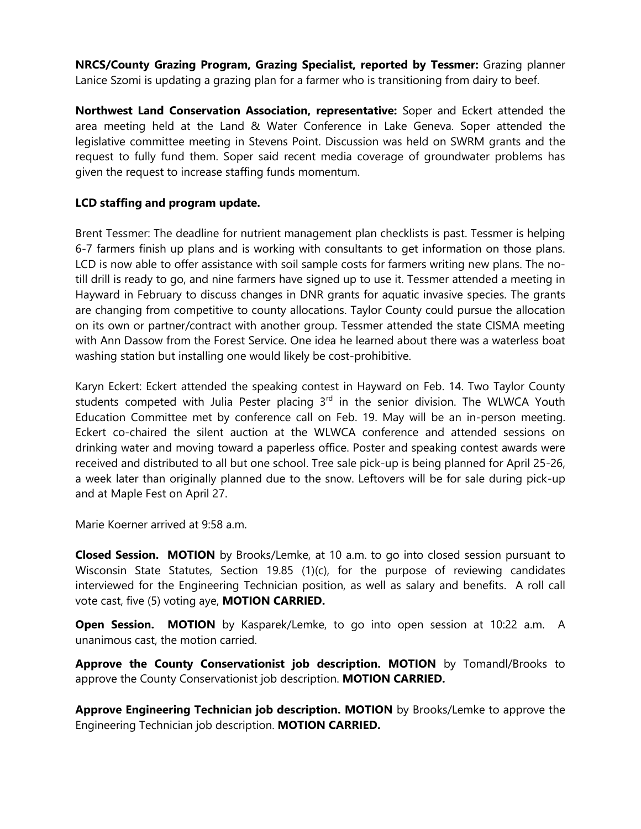**NRCS/County Grazing Program, Grazing Specialist, reported by Tessmer:** Grazing planner Lanice Szomi is updating a grazing plan for a farmer who is transitioning from dairy to beef.

**Northwest Land Conservation Association, representative:** Soper and Eckert attended the area meeting held at the Land & Water Conference in Lake Geneva. Soper attended the legislative committee meeting in Stevens Point. Discussion was held on SWRM grants and the request to fully fund them. Soper said recent media coverage of groundwater problems has given the request to increase staffing funds momentum.

# **LCD staffing and program update.**

Brent Tessmer: The deadline for nutrient management plan checklists is past. Tessmer is helping 6-7 farmers finish up plans and is working with consultants to get information on those plans. LCD is now able to offer assistance with soil sample costs for farmers writing new plans. The notill drill is ready to go, and nine farmers have signed up to use it. Tessmer attended a meeting in Hayward in February to discuss changes in DNR grants for aquatic invasive species. The grants are changing from competitive to county allocations. Taylor County could pursue the allocation on its own or partner/contract with another group. Tessmer attended the state CISMA meeting with Ann Dassow from the Forest Service. One idea he learned about there was a waterless boat washing station but installing one would likely be cost-prohibitive.

Karyn Eckert: Eckert attended the speaking contest in Hayward on Feb. 14. Two Taylor County students competed with Julia Pester placing  $3<sup>rd</sup>$  in the senior division. The WLWCA Youth Education Committee met by conference call on Feb. 19. May will be an in-person meeting. Eckert co-chaired the silent auction at the WLWCA conference and attended sessions on drinking water and moving toward a paperless office. Poster and speaking contest awards were received and distributed to all but one school. Tree sale pick-up is being planned for April 25-26, a week later than originally planned due to the snow. Leftovers will be for sale during pick-up and at Maple Fest on April 27.

Marie Koerner arrived at 9:58 a.m.

**Closed Session. MOTION** by Brooks/Lemke, at 10 a.m. to go into closed session pursuant to Wisconsin State Statutes, Section 19.85 (1)(c), for the purpose of reviewing candidates interviewed for the Engineering Technician position, as well as salary and benefits. A roll call vote cast, five (5) voting aye, **MOTION CARRIED.**

**Open Session. MOTION** by Kasparek/Lemke, to go into open session at 10:22 a.m. A unanimous cast, the motion carried.

**Approve the County Conservationist job description. MOTION** by Tomandl/Brooks to approve the County Conservationist job description. **MOTION CARRIED.**

**Approve Engineering Technician job description. MOTION** by Brooks/Lemke to approve the Engineering Technician job description. **MOTION CARRIED.**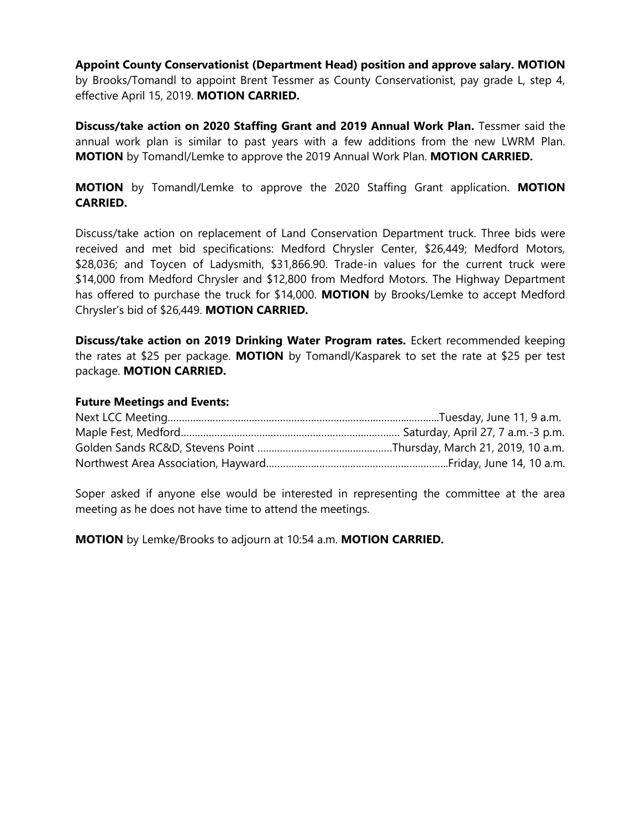**Appoint County Conservationist (Department Head) position and approve salary. MOTION**  by Brooks/Tomandl to appoint Brent Tessmer as County Conservationist, pay grade L, step 4, effective April 15, 2019. **MOTION CARRIED.**

Discuss/take action on 2020 Staffing Grant and 2019 Annual Work Plan. Tessmer said the annual work plan is similar to past years with a few additions from the new LWRM Plan. **MOTION** by Tomandl/Lemke to approve the 2019 Annual Work Plan. **MOTION CARRIED.**

**MOTION** by Tomandl/Lemke to approve the 2020 Staffing Grant application. **MOTION CARRIED.**

Discuss/take action on replacement of Land Conservation Department truck. Three bids were received and met bid specifications: Medford Chrysler Center, \$26,449; Medford Motors, \$28,036; and Toycen of Ladysmith, \$31,866.90. Trade-in values for the current truck were \$14,000 from Medford Chrysler and \$12,800 from Medford Motors. The Highway Department has offered to purchase the truck for \$14,000. **MOTION** by Brooks/Lemke to accept Medford Chrysler's bid of \$26,449. **MOTION CARRIED.**

**Discuss/take action on 2019 Drinking Water Program rates.** Eckert recommended keeping the rates at \$25 per package. **MOTION** by Tomandl/Kasparek to set the rate at \$25 per test package. **MOTION CARRIED.**

#### **Future Meetings and Events:**

Soper asked if anyone else would be interested in representing the committee at the area meeting as he does not have time to attend the meetings.

**MOTION** by Lemke/Brooks to adjourn at 10:54 a.m. **MOTION CARRIED.**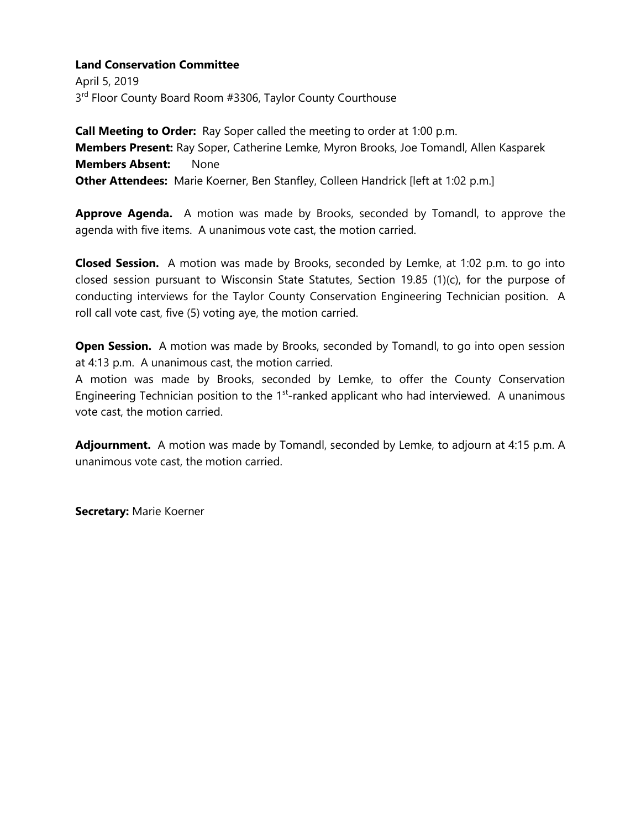April 5, 2019 3<sup>rd</sup> Floor County Board Room #3306, Taylor County Courthouse

**Call Meeting to Order:** Ray Soper called the meeting to order at 1:00 p.m. **Members Present:** Ray Soper, Catherine Lemke, Myron Brooks, Joe Tomandl, Allen Kasparek **Members Absent:** None **Other Attendees:** Marie Koerner, Ben Stanfley, Colleen Handrick [left at 1:02 p.m.]

**Approve Agenda.** A motion was made by Brooks, seconded by Tomandl, to approve the agenda with five items. A unanimous vote cast, the motion carried.

**Closed Session.** A motion was made by Brooks, seconded by Lemke, at 1:02 p.m. to go into closed session pursuant to Wisconsin State Statutes, Section 19.85 (1)(c), for the purpose of conducting interviews for the Taylor County Conservation Engineering Technician position. A roll call vote cast, five (5) voting aye, the motion carried.

**Open Session.** A motion was made by Brooks, seconded by Tomandl, to go into open session at 4:13 p.m. A unanimous cast, the motion carried.

A motion was made by Brooks, seconded by Lemke, to offer the County Conservation Engineering Technician position to the  $1<sup>st</sup>$ -ranked applicant who had interviewed. A unanimous vote cast, the motion carried.

**Adjournment.** A motion was made by Tomandl, seconded by Lemke, to adjourn at 4:15 p.m. A unanimous vote cast, the motion carried.

**Secretary:** Marie Koerner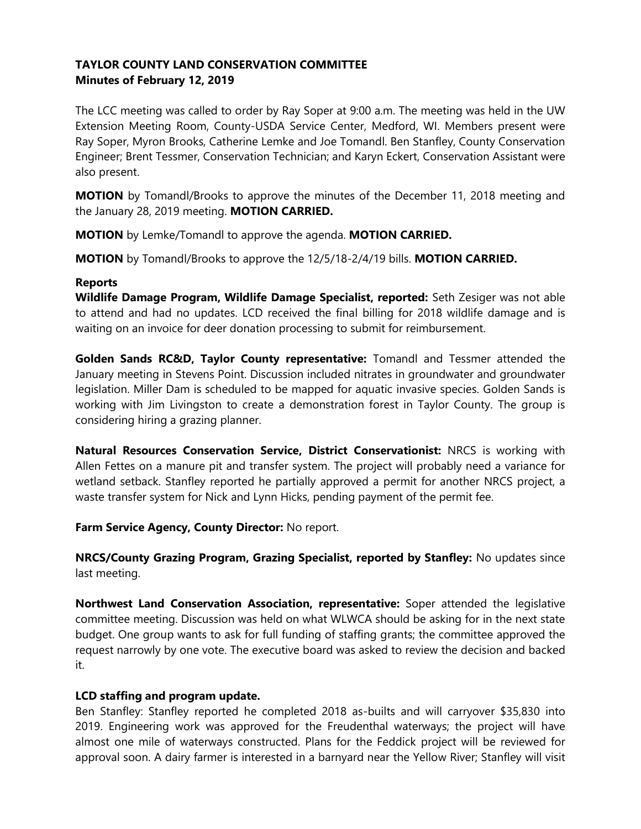# **TAYLOR COUNTY LAND CONSERVATION COMMITTEE Minutes of February 12, 2019**

The LCC meeting was called to order by Ray Soper at 9:00 a.m. The meeting was held in the UW Extension Meeting Room, County-USDA Service Center, Medford, WI. Members present were Ray Soper, Myron Brooks, Catherine Lemke and Joe Tomandl. Ben Stanfley, County Conservation Engineer; Brent Tessmer, Conservation Technician; and Karyn Eckert, Conservation Assistant were also present.

**MOTION** by Tomandl/Brooks to approve the minutes of the December 11, 2018 meeting and the January 28, 2019 meeting. **MOTION CARRIED.**

**MOTION** by Lemke/Tomandl to approve the agenda. **MOTION CARRIED.**

**MOTION** by Tomandl/Brooks to approve the 12/5/18-2/4/19 bills. **MOTION CARRIED.**

### **Reports**

**Wildlife Damage Program, Wildlife Damage Specialist, reported:** Seth Zesiger was not able to attend and had no updates. LCD received the final billing for 2018 wildlife damage and is waiting on an invoice for deer donation processing to submit for reimbursement.

**Golden Sands RC&D, Taylor County representative:** Tomandl and Tessmer attended the January meeting in Stevens Point. Discussion included nitrates in groundwater and groundwater legislation. Miller Dam is scheduled to be mapped for aquatic invasive species. Golden Sands is working with Jim Livingston to create a demonstration forest in Taylor County. The group is considering hiring a grazing planner.

**Natural Resources Conservation Service, District Conservationist:** NRCS is working with Allen Fettes on a manure pit and transfer system. The project will probably need a variance for wetland setback. Stanfley reported he partially approved a permit for another NRCS project, a waste transfer system for Nick and Lynn Hicks, pending payment of the permit fee.

**Farm Service Agency, County Director:** No report.

**NRCS/County Grazing Program, Grazing Specialist, reported by Stanfley:** No updates since last meeting.

**Northwest Land Conservation Association, representative:** Soper attended the legislative committee meeting. Discussion was held on what WLWCA should be asking for in the next state budget. One group wants to ask for full funding of staffing grants; the committee approved the request narrowly by one vote. The executive board was asked to review the decision and backed it.

# **LCD staffing and program update.**

Ben Stanfley: Stanfley reported he completed 2018 as-builts and will carryover \$35,830 into 2019. Engineering work was approved for the Freudenthal waterways; the project will have almost one mile of waterways constructed. Plans for the Feddick project will be reviewed for approval soon. A dairy farmer is interested in a barnyard near the Yellow River; Stanfley will visit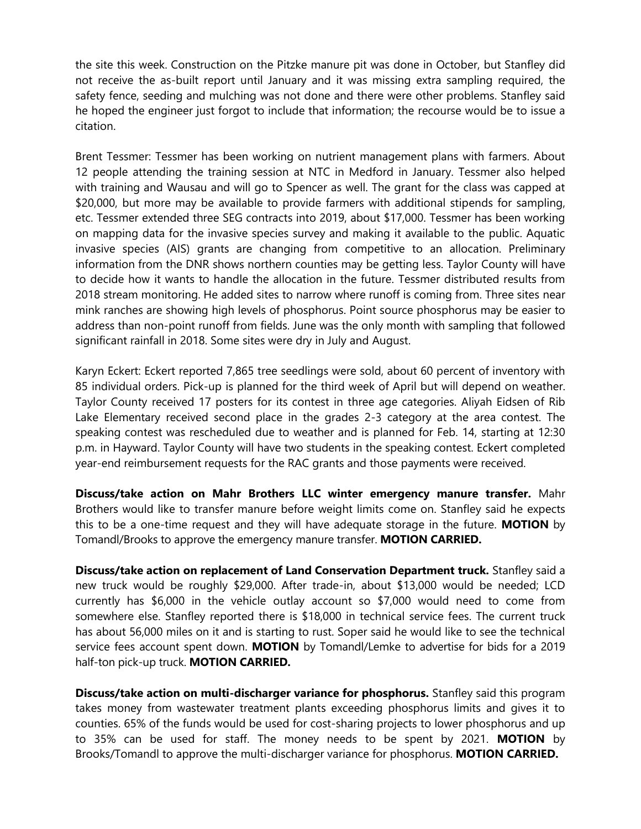the site this week. Construction on the Pitzke manure pit was done in October, but Stanfley did not receive the as-built report until January and it was missing extra sampling required, the safety fence, seeding and mulching was not done and there were other problems. Stanfley said he hoped the engineer just forgot to include that information; the recourse would be to issue a citation.

Brent Tessmer: Tessmer has been working on nutrient management plans with farmers. About 12 people attending the training session at NTC in Medford in January. Tessmer also helped with training and Wausau and will go to Spencer as well. The grant for the class was capped at \$20,000, but more may be available to provide farmers with additional stipends for sampling, etc. Tessmer extended three SEG contracts into 2019, about \$17,000. Tessmer has been working on mapping data for the invasive species survey and making it available to the public. Aquatic invasive species (AIS) grants are changing from competitive to an allocation. Preliminary information from the DNR shows northern counties may be getting less. Taylor County will have to decide how it wants to handle the allocation in the future. Tessmer distributed results from 2018 stream monitoring. He added sites to narrow where runoff is coming from. Three sites near mink ranches are showing high levels of phosphorus. Point source phosphorus may be easier to address than non-point runoff from fields. June was the only month with sampling that followed significant rainfall in 2018. Some sites were dry in July and August.

Karyn Eckert: Eckert reported 7,865 tree seedlings were sold, about 60 percent of inventory with 85 individual orders. Pick-up is planned for the third week of April but will depend on weather. Taylor County received 17 posters for its contest in three age categories. Aliyah Eidsen of Rib Lake Elementary received second place in the grades 2-3 category at the area contest. The speaking contest was rescheduled due to weather and is planned for Feb. 14, starting at 12:30 p.m. in Hayward. Taylor County will have two students in the speaking contest. Eckert completed year-end reimbursement requests for the RAC grants and those payments were received.

**Discuss/take action on Mahr Brothers LLC winter emergency manure transfer.** Mahr Brothers would like to transfer manure before weight limits come on. Stanfley said he expects this to be a one-time request and they will have adequate storage in the future. **MOTION** by Tomandl/Brooks to approve the emergency manure transfer. **MOTION CARRIED.**

**Discuss/take action on replacement of Land Conservation Department truck.** Stanfley said a new truck would be roughly \$29,000. After trade-in, about \$13,000 would be needed; LCD currently has \$6,000 in the vehicle outlay account so \$7,000 would need to come from somewhere else. Stanfley reported there is \$18,000 in technical service fees. The current truck has about 56,000 miles on it and is starting to rust. Soper said he would like to see the technical service fees account spent down. **MOTION** by Tomandl/Lemke to advertise for bids for a 2019 half-ton pick-up truck. **MOTION CARRIED.**

**Discuss/take action on multi-discharger variance for phosphorus.** Stanfley said this program takes money from wastewater treatment plants exceeding phosphorus limits and gives it to counties. 65% of the funds would be used for cost-sharing projects to lower phosphorus and up to 35% can be used for staff. The money needs to be spent by 2021. **MOTION** by Brooks/Tomandl to approve the multi-discharger variance for phosphorus. **MOTION CARRIED.**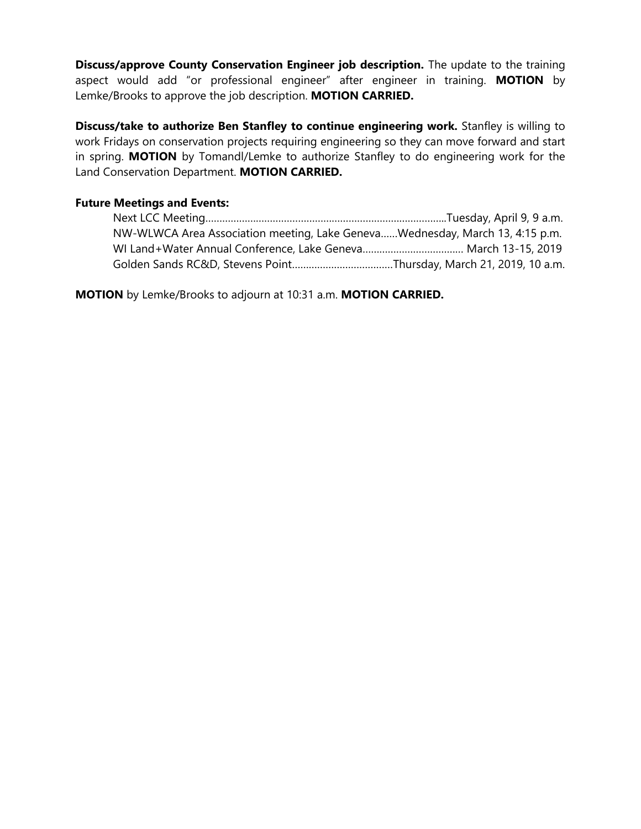**Discuss/approve County Conservation Engineer job description.** The update to the training aspect would add "or professional engineer" after engineer in training. **MOTION** by Lemke/Brooks to approve the job description. **MOTION CARRIED.**

**Discuss/take to authorize Ben Stanfley to continue engineering work.** Stanfley is willing to work Fridays on conservation projects requiring engineering so they can move forward and start in spring. **MOTION** by Tomandl/Lemke to authorize Stanfley to do engineering work for the Land Conservation Department. **MOTION CARRIED.**

### **Future Meetings and Events:**

| NW-WLWCA Area Association meeting, Lake GenevaWednesday, March 13, 4:15 p.m. |  |
|------------------------------------------------------------------------------|--|
|                                                                              |  |
|                                                                              |  |

**MOTION** by Lemke/Brooks to adjourn at 10:31 a.m. **MOTION CARRIED.**